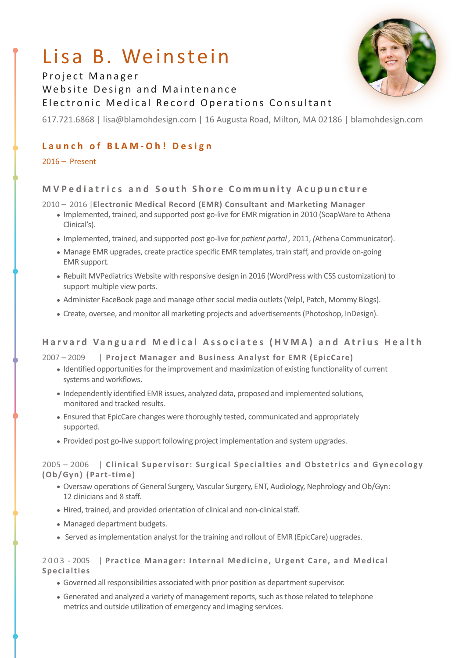# Lisa B. Weinstein



# Project Manager Website Design and Maintenance Electronic Medical Record Operations Consultant

617.721.6868 | lisa@blamohdesign.com | 16 Augusta Road, Milton, MA 02186 | blamohdesign.com

# **Launch of BLAM-Oh! Design**

 $2016 -$  Present

# **MVPediatrics and South Shore Community Acupuncture**

2010 – 2016 | Electronic Medical Record (EMR) Consultant and Marketing Manager

- Implemented, trained, and supported post go-live for EMR migration in 2010 (SoapWare to Athena Clinical's).
- Implemented, trained, and supported post go-live for *patient portal*, 2011, (Athena Communicator).
- Manage EMR upgrades, create practice specific EMR templates, train staff, and provide on-going EMR support.
- Rebuilt MVPediatrics Website with responsive design in 2016 (WordPress with CSS customization) to support multiple view ports.
- Administer FaceBook page and manage other social media outlets (Yelp!, Patch, Mommy Blogs).
- Create, oversee, and monitor all marketing projects and advertisements (Photoshop, InDesign).

## **Harvard Vanguard Medical Associates (HVMA) and Atrius Health**

## 2007 – 2009 | Project Manager and Business Analyst for EMR (EpicCare)

- Identified opportunities for the improvement and maximization of existing functionality of current systems and workflows.
- Independently identified EMR issues, analyzed data, proposed and implemented solutions, monitored and tracked results.
- Ensured that EpicCare changes were thoroughly tested, communicated and appropriately supported.
- Provided post go-live support following project implementation and system upgrades.

2005 - 2006 | Clinical Supervisor: Surgical Specialties and Obstetrics and Gynecology **(Ob/Gyn) (Part-time)**

- Oversaw operations of General Surgery, Vascular Surgery, ENT, Audiology, Nephrology and Ob/Gyn: 12 clinicians and 8 staff.
- Hired, trained, and provided orientation of clinical and non-clinical staff.
- Managed department budgets.
- Served as implementation analyst for the training and rollout of EMR (EpicCare) upgrades.

## 2003 - 2005 | Practice Manager: Internal Medicine, Urgent Care, and Medical **Specialties**

- Governed all responsibilities associated with prior position as department supervisor.
- Generated and analyzed a variety of management reports, such as those related to telephone metrics and outside utilization of emergency and imaging services.